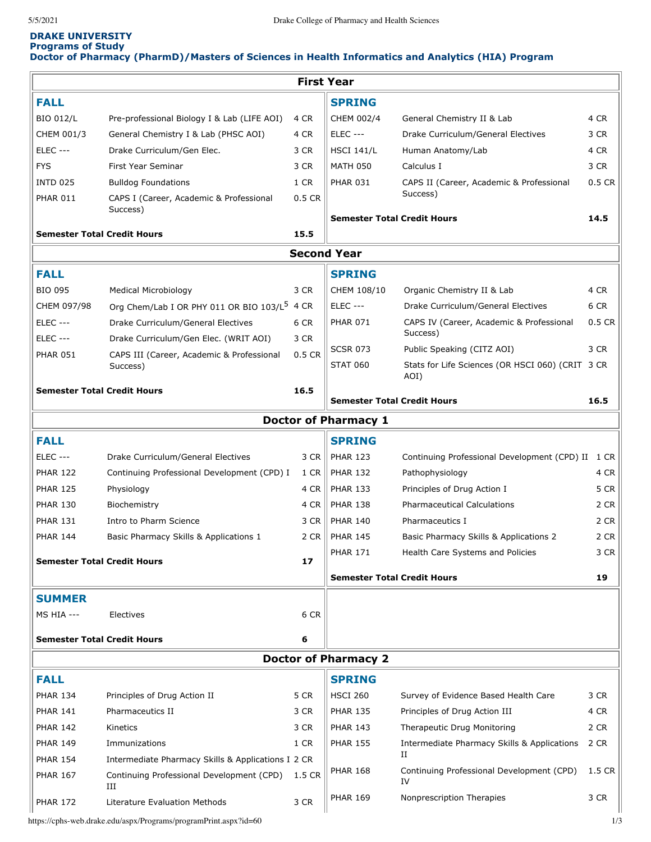# **DRAKE UNIVERSITY Programs of Study Doctor of Pharmacy (PharmD)/Masters of Sciences in Health Informatics and Analytics (HIA) Program**

| <b>First Year</b>  |                                                          |                                              |                                          |                                                          |          |  |  |  |  |  |
|--------------------|----------------------------------------------------------|----------------------------------------------|------------------------------------------|----------------------------------------------------------|----------|--|--|--|--|--|
| <b>FALL</b>        |                                                          |                                              | <b>SPRING</b>                            |                                                          |          |  |  |  |  |  |
| <b>BIO 012/L</b>   | Pre-professional Biology I & Lab (LIFE AOI)              | 4 CR                                         | CHEM 002/4                               | General Chemistry II & Lab                               | 4 CR     |  |  |  |  |  |
| CHEM 001/3         | General Chemistry I & Lab (PHSC AOI)                     | 4 CR                                         | <b>ELEC ---</b>                          | Drake Curriculum/General Electives                       | 3 CR     |  |  |  |  |  |
| <b>ELEC ---</b>    | Drake Curriculum/Gen Elec.                               | 3 CR                                         | <b>HSCI 141/L</b>                        | Human Anatomy/Lab                                        | 4 CR     |  |  |  |  |  |
| <b>FYS</b>         | First Year Seminar                                       | 3 CR                                         | <b>MATH 050</b>                          | Calculus I                                               | 3 CR     |  |  |  |  |  |
| <b>INTD 025</b>    | <b>Bulldog Foundations</b>                               | 1 CR                                         | <b>PHAR 031</b>                          | CAPS II (Career, Academic & Professional                 | $0.5$ CR |  |  |  |  |  |
| <b>PHAR 011</b>    | CAPS I (Career, Academic & Professional<br>Success)      | 0.5 CR                                       |                                          | Success)                                                 |          |  |  |  |  |  |
|                    |                                                          |                                              | <b>Semester Total Credit Hours</b>       |                                                          | 14.5     |  |  |  |  |  |
|                    | <b>Semester Total Credit Hours</b>                       |                                              |                                          |                                                          |          |  |  |  |  |  |
| <b>Second Year</b> |                                                          |                                              |                                          |                                                          |          |  |  |  |  |  |
| <b>FALL</b>        |                                                          |                                              | <b>SPRING</b>                            |                                                          |          |  |  |  |  |  |
| <b>BIO 095</b>     | <b>Medical Microbiology</b>                              | 3 CR                                         | CHEM 108/10                              | Organic Chemistry II & Lab                               | 4 CR     |  |  |  |  |  |
| CHEM 097/98        | Org Chem/Lab I OR PHY 011 OR BIO 103/L <sup>5</sup> 4 CR |                                              | <b>ELEC ---</b>                          | Drake Curriculum/General Electives                       | 6 CR     |  |  |  |  |  |
| <b>ELEC ---</b>    | Drake Curriculum/General Electives                       | 6 CR                                         | <b>PHAR 071</b>                          | CAPS IV (Career, Academic & Professional                 | $0.5$ CR |  |  |  |  |  |
| <b>ELEC ---</b>    | Drake Curriculum/Gen Elec. (WRIT AOI)                    | 3 CR                                         |                                          | Success)                                                 |          |  |  |  |  |  |
| <b>PHAR 051</b>    | CAPS III (Career, Academic & Professional                | 0.5 CR                                       | <b>SCSR 073</b>                          | Public Speaking (CITZ AOI)                               | 3 CR     |  |  |  |  |  |
|                    | Success)                                                 |                                              | <b>STAT 060</b>                          | Stats for Life Sciences (OR HSCI 060) (CRIT 3 CR<br>AOI) |          |  |  |  |  |  |
|                    | <b>Semester Total Credit Hours</b>                       | 16.5                                         |                                          |                                                          |          |  |  |  |  |  |
|                    |                                                          |                                              | <b>Semester Total Credit Hours</b>       |                                                          | 16.5     |  |  |  |  |  |
|                    |                                                          |                                              | <b>Doctor of Pharmacy 1</b>              |                                                          |          |  |  |  |  |  |
| <b>FALL</b>        |                                                          |                                              | <b>SPRING</b>                            |                                                          |          |  |  |  |  |  |
| <b>ELEC ---</b>    | Drake Curriculum/General Electives                       | 3 CR                                         | <b>PHAR 123</b>                          | Continuing Professional Development (CPD) II 1 CR        |          |  |  |  |  |  |
| <b>PHAR 122</b>    | Continuing Professional Development (CPD) I              | 1 CR                                         | <b>PHAR 132</b>                          | Pathophysiology                                          | 4 CR     |  |  |  |  |  |
| <b>PHAR 125</b>    | Physiology                                               | 4 CR                                         | <b>PHAR 133</b>                          | Principles of Drug Action I                              | 5 CR     |  |  |  |  |  |
| <b>PHAR 130</b>    | Biochemistry                                             | 4 CR                                         | <b>PHAR 138</b>                          | <b>Pharmaceutical Calculations</b>                       | 2 CR     |  |  |  |  |  |
| <b>PHAR 131</b>    | Intro to Pharm Science                                   | 3 CR                                         | <b>PHAR 140</b>                          | Pharmaceutics I                                          | 2 CR     |  |  |  |  |  |
| <b>PHAR 144</b>    | Basic Pharmacy Skills & Applications 1                   | 2 CR                                         | <b>PHAR 145</b>                          | Basic Pharmacy Skills & Applications 2                   | 2 CR     |  |  |  |  |  |
|                    | <b>Semester Total Credit Hours</b>                       | 17                                           | <b>PHAR 171</b>                          | Health Care Systems and Policies                         | 3 CR     |  |  |  |  |  |
|                    |                                                          |                                              | <b>Semester Total Credit Hours</b><br>19 |                                                          |          |  |  |  |  |  |
| <b>SUMMER</b>      |                                                          |                                              |                                          |                                                          |          |  |  |  |  |  |
| <b>MS HIA ---</b>  | Electives                                                | 6 CR                                         |                                          |                                                          |          |  |  |  |  |  |
|                    | <b>Semester Total Credit Hours</b>                       | 6                                            |                                          |                                                          |          |  |  |  |  |  |
|                    |                                                          |                                              |                                          |                                                          |          |  |  |  |  |  |
| <b>FALL</b>        |                                                          | <b>Doctor of Pharmacy 2</b><br><b>SPRING</b> |                                          |                                                          |          |  |  |  |  |  |
| <b>PHAR 134</b>    | Principles of Drug Action II                             | 5 CR                                         | <b>HSCI 260</b>                          | Survey of Evidence Based Health Care                     | 3 CR     |  |  |  |  |  |
| <b>PHAR 141</b>    | Pharmaceutics II                                         | 3 CR                                         | <b>PHAR 135</b>                          | Principles of Drug Action III                            | 4 CR     |  |  |  |  |  |
| <b>PHAR 142</b>    | Kinetics                                                 | 3 CR                                         | <b>PHAR 143</b>                          | Therapeutic Drug Monitoring                              | 2 CR     |  |  |  |  |  |
| <b>PHAR 149</b>    | Immunizations                                            | 1 CR                                         | <b>PHAR 155</b>                          | Intermediate Pharmacy Skills & Applications              | 2 CR     |  |  |  |  |  |
| <b>PHAR 154</b>    | Intermediate Pharmacy Skills & Applications I 2 CR       |                                              |                                          | П                                                        |          |  |  |  |  |  |
| <b>PHAR 167</b>    | Continuing Professional Development (CPD)                | 1.5 CR                                       | <b>PHAR 168</b>                          | Continuing Professional Development (CPD)<br>IV          | 1.5 CR   |  |  |  |  |  |
| <b>PHAR 172</b>    | Ш<br>Literature Evaluation Methods                       | 3 CR                                         | <b>PHAR 169</b>                          | Nonprescription Therapies                                | 3 CR     |  |  |  |  |  |

https://cphs-web.drake.edu/aspx/Programs/programPrint.aspx?id=60 1/3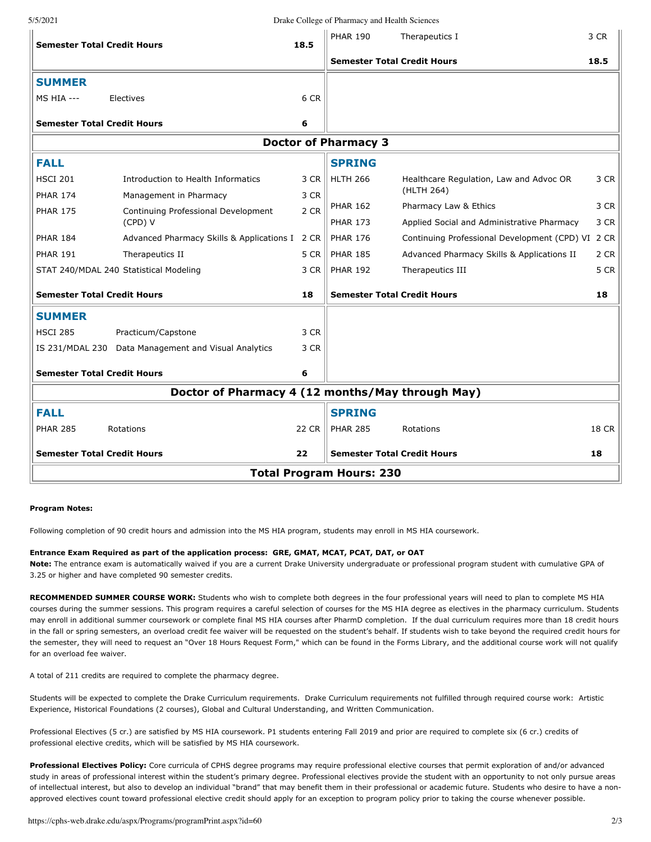5/5/2021 Drake College of Pharmacy and Health Sciences

| <b>Semester Total Credit Hours</b>               |                                                      | 18.5  | <b>PHAR 190</b>                    | Therapeutics I                                    | 3 CR         |  |  |  |  |
|--------------------------------------------------|------------------------------------------------------|-------|------------------------------------|---------------------------------------------------|--------------|--|--|--|--|
|                                                  |                                                      |       | <b>Semester Total Credit Hours</b> |                                                   | 18.5         |  |  |  |  |
| <b>SUMMER</b>                                    |                                                      |       |                                    |                                                   |              |  |  |  |  |
| <b>MS HIA ---</b>                                | Electives                                            | 6 CR  |                                    |                                                   |              |  |  |  |  |
| <b>Semester Total Credit Hours</b>               |                                                      | 6     |                                    |                                                   |              |  |  |  |  |
| <b>Doctor of Pharmacy 3</b>                      |                                                      |       |                                    |                                                   |              |  |  |  |  |
| <b>FALL</b>                                      |                                                      |       | <b>SPRING</b>                      |                                                   |              |  |  |  |  |
| <b>HSCI 201</b>                                  | Introduction to Health Informatics                   | 3 CR  | <b>HLTH 266</b>                    | Healthcare Regulation, Law and Advoc OR           | 3 CR         |  |  |  |  |
| <b>PHAR 174</b>                                  | Management in Pharmacy                               | 3 CR  |                                    | (HLTH 264)                                        |              |  |  |  |  |
| <b>PHAR 175</b>                                  | Continuing Professional Development                  | 2 CR  | <b>PHAR 162</b>                    | Pharmacy Law & Ethics                             | 3 CR         |  |  |  |  |
|                                                  | (CPD) V                                              |       | <b>PHAR 173</b>                    | Applied Social and Administrative Pharmacy        | 3 CR         |  |  |  |  |
| <b>PHAR 184</b>                                  | Advanced Pharmacy Skills & Applications I 2 CR       |       | <b>PHAR 176</b>                    | Continuing Professional Development (CPD) VI 2 CR |              |  |  |  |  |
| <b>PHAR 191</b>                                  | Therapeutics II                                      | 5 CR  | <b>PHAR 185</b>                    | Advanced Pharmacy Skills & Applications II        | 2 CR         |  |  |  |  |
| STAT 240/MDAL 240 Statistical Modeling           |                                                      | 3 CR  | <b>PHAR 192</b>                    | Therapeutics III                                  | 5 CR         |  |  |  |  |
| <b>Semester Total Credit Hours</b>               |                                                      | 18    | <b>Semester Total Credit Hours</b> |                                                   | 18           |  |  |  |  |
| <b>SUMMER</b>                                    |                                                      |       |                                    |                                                   |              |  |  |  |  |
| <b>HSCI 285</b>                                  | Practicum/Capstone                                   | 3 CR  |                                    |                                                   |              |  |  |  |  |
|                                                  | IS 231/MDAL 230 Data Management and Visual Analytics | 3 CR  |                                    |                                                   |              |  |  |  |  |
| <b>Semester Total Credit Hours</b>               |                                                      | 6     |                                    |                                                   |              |  |  |  |  |
| Doctor of Pharmacy 4 (12 months/May through May) |                                                      |       |                                    |                                                   |              |  |  |  |  |
| <b>FALL</b>                                      |                                                      |       | <b>SPRING</b>                      |                                                   |              |  |  |  |  |
| <b>PHAR 285</b>                                  | Rotations                                            | 22 CR | <b>PHAR 285</b>                    | Rotations                                         | <b>18 CR</b> |  |  |  |  |
| <b>Semester Total Credit Hours</b>               |                                                      | 22    | <b>Semester Total Credit Hours</b> |                                                   | 18           |  |  |  |  |
| <b>Total Program Hours: 230</b>                  |                                                      |       |                                    |                                                   |              |  |  |  |  |

## **Program Notes:**

Following completion of 90 credit hours and admission into the MS HIA program, students may enroll in MS HIA coursework.

## **Entrance Exam Required as part of the application process: GRE, GMAT, MCAT, PCAT, DAT, or OAT**

**Note:** The entrance exam is automatically waived if you are a current Drake University undergraduate or professional program student with cumulative GPA of 3.25 or higher and have completed 90 semester credits.

**RECOMMENDED SUMMER COURSE WORK:** Students who wish to complete both degrees in the four professional years will need to plan to complete MS HIA courses during the summer sessions. This program requires a careful selection of courses for the MS HIA degree as electives in the pharmacy curriculum. Students may enroll in additional summer coursework or complete final MS HIA courses after PharmD completion. If the dual curriculum requires more than 18 credit hours in the fall or spring semesters, an overload credit fee waiver will be requested on the student's behalf. If students wish to take beyond the required credit hours for the semester, they will need to request an "Over 18 Hours Request Form," which can be found in the Forms Library, and the additional course work will not qualify for an overload fee waiver.

A total of 211 credits are required to complete the pharmacy degree.

Students will be expected to complete the Drake Curriculum requirements. Drake Curriculum requirements not fulfilled through required course work: Artistic Experience, Historical Foundations (2 courses), Global and Cultural Understanding, and Written Communication.

Professional Electives (5 cr.) are satisfied by MS HIA coursework. P1 students entering Fall 2019 and prior are required to complete six (6 cr.) credits of professional elective credits, which will be satisfied by MS HIA coursework.

**Professional Electives Policy:** Core curricula of CPHS degree programs may require professional elective courses that permit exploration of and/or advanced study in areas of professional interest within the student's primary degree. Professional electives provide the student with an opportunity to not only pursue areas of intellectual interest, but also to develop an individual "brand" that may benefit them in their professional or academic future. Students who desire to have a nonapproved electives count toward professional elective credit should apply for an exception to program policy prior to taking the course whenever possible.